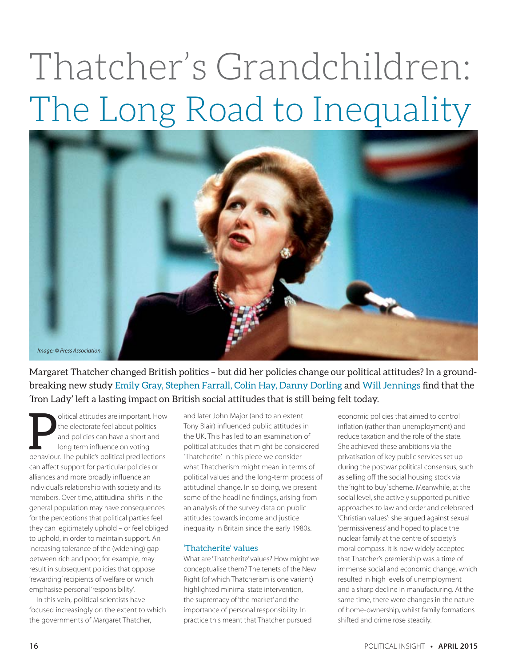# Thatcher's Grandchildren: The Long Road to Inequality



Margaret Thatcher changed British politics – but did her policies change our political attitudes? In a groundbreaking new study Emily Gray, Stephen Farrall, Colin Hay, Danny Dorling and Will Jennings find that the 'Iron Lady' left a lasting impact on British social attitudes that is still being felt today.

**Publicial attitudes are important. However the electorate feel about politics** and policies can have a short and long term influence on voting behaviour. The public's political predilections olitical attitudes are important. How the electorate feel about politics and policies can have a short and long term influence on voting can affect support for particular policies or alliances and more broadly influence an individual's relationship with society and its members. Over time, attitudinal shifts in the general population may have consequences for the perceptions that political parties feel they can legitimately uphold – or feel obliged to uphold, in order to maintain support. An increasing tolerance of the (widening) gap between rich and poor, for example, may result in subsequent policies that oppose 'rewarding' recipients of welfare or which emphasise personal 'responsibility'.

In this vein, political scientists have focused increasingly on the extent to which the governments of Margaret Thatcher,

and later John Major (and to an extent Tony Blair) influenced public attitudes in the UK. This has led to an examination of political attitudes that might be considered 'Thatcherite'. In this piece we consider what Thatcherism might mean in terms of political values and the long-term process of attitudinal change. In so doing, we present some of the headline findings, arising from an analysis of the survey data on public attitudes towards income and justice inequality in Britain since the early 1980s.

### 'Thatcherite' values

What are 'Thatcherite' values? How might we conceptualise them? The tenets of the New Right (of which Thatcherism is one variant) highlighted minimal state intervention, the supremacy of 'the market' and the importance of personal responsibility. In practice this meant that Thatcher pursued

economic policies that aimed to control inflation (rather than unemployment) and reduce taxation and the role of the state. She achieved these ambitions via the privatisation of key public services set up during the postwar political consensus, such as selling off the social housing stock via the 'right to buy' scheme. Meanwhile, at the social level, she actively supported punitive approaches to law and order and celebrated 'Christian values': she argued against sexual 'permissiveness' and hoped to place the nuclear family at the centre of society's moral compass. It is now widely accepted that Thatcher's premiership was a time of immense social and economic change, which resulted in high levels of unemployment and a sharp decline in manufacturing. At the same time, there were changes in the nature of home-ownership, whilst family formations shifted and crime rose steadily.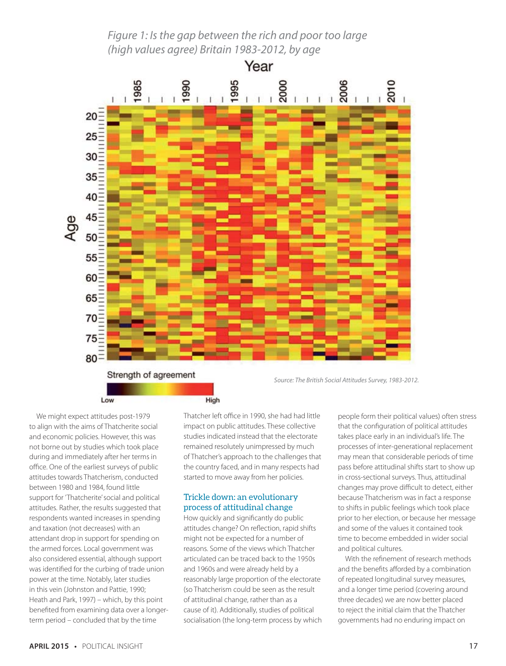# Figure 1: Is the gap between the rich and poor too large (high values agree) Britain 1983-2012, by age



We might expect attitudes post-1979 to align with the aims of Thatcherite social and economic policies. However, this was not borne out by studies which took place during and immediately after her terms in office. One of the earliest surveys of public attitudes towards Thatcherism, conducted between 1980 and 1984, found little support for 'Thatcherite' social and political attitudes. Rather, the results suggested that respondents wanted increases in spending and taxation (not decreases) with an attendant drop in support for spending on the armed forces. Local government was also considered essential, although support was identified for the curbing of trade union power at the time. Notably, later studies in this vein (Johnston and Pattie, 1990; Heath and Park, 1997) – which, by this point benefited from examining data over a longerterm period – concluded that by the time

Thatcher left office in 1990, she had had little impact on public attitudes. These collective studies indicated instead that the electorate remained resolutely unimpressed by much of Thatcher's approach to the challenges that the country faced, and in many respects had started to move away from her policies.

## Trickle down: an evolutionary process of attitudinal change

How quickly and significantly do public attitudes change? On reflection, rapid shifts might not be expected for a number of reasons. Some of the views which Thatcher articulated can be traced back to the 1950s and 1960s and were already held by a reasonably large proportion of the electorate (so Thatcherism could be seen as the result of attitudinal change, rather than as a cause of it). Additionally, studies of political socialisation (the long-term process by which people form their political values) often stress that the configuration of political attitudes takes place early in an individual's life. The processes of inter-generational replacement may mean that considerable periods of time pass before attitudinal shifts start to show up in cross-sectional surveys. Thus, attitudinal changes may prove difficult to detect, either because Thatcherism was in fact a response to shifts in public feelings which took place prior to her election, or because her message and some of the values it contained took time to become embedded in wider social and political cultures.

With the refinement of research methods and the benefits afforded by a combination of repeated longitudinal survey measures, and a longer time period (covering around three decades) we are now better placed to reject the initial claim that the Thatcher governments had no enduring impact on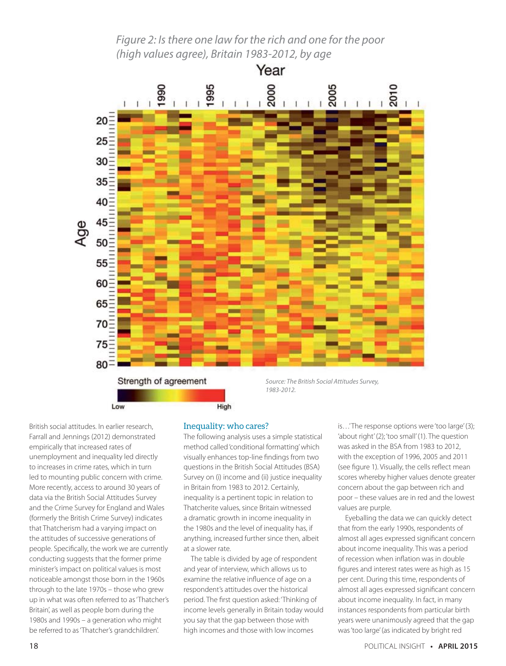Figure 2: Is there one law for the rich and one for the poor (high values agree), Britain 1983-2012, by age



British social attitudes. In earlier research, Farrall and Jennings (2012) demonstrated empirically that increased rates of unemployment and inequality led directly to increases in crime rates, which in turn led to mounting public concern with crime. More recently, access to around 30 years of data via the British Social Attitudes Survey and the Crime Survey for England and Wales (formerly the British Crime Survey) indicates that Thatcherism had a varying impact on the attitudes of successive generations of people. Specifically, the work we are currently conducting suggests that the former prime minister's impact on political values is most noticeable amongst those born in the 1960s through to the late 1970s – those who grew up in what was often referred to as 'Thatcher's Britain', as well as people born during the 1980s and 1990s – a generation who might be referred to as 'Thatcher's grandchildren'.

#### Inequality: who cares?

The following analysis uses a simple statistical method called 'conditional formatting' which visually enhances top-line findings from two questions in the British Social Attitudes (BSA) Survey on (i) income and (ii) justice inequality in Britain from 1983 to 2012. Certainly, inequality is a pertinent topic in relation to Thatcherite values, since Britain witnessed a dramatic growth in income inequality in the 1980s and the level of inequality has, if anything, increased further since then, albeit at a slower rate.

The table is divided by age of respondent and year of interview, which allows us to examine the relative influence of age on a respondent's attitudes over the historical period. The first question asked: 'Thinking of income levels generally in Britain today would you say that the gap between those with high incomes and those with low incomes

is…' The response options were 'too large' (3); 'about right' (2); 'too small' (1). The question was asked in the BSA from 1983 to 2012, with the exception of 1996, 2005 and 2011 (see figure 1). Visually, the cells reflect mean scores whereby higher values denote greater concern about the gap between rich and poor – these values are in red and the lowest values are purple.

Eyeballing the data we can quickly detect that from the early 1990s, respondents of almost all ages expressed significant concern about income inequality. This was a period of recession when inflation was in double figures and interest rates were as high as 15 per cent. During this time, respondents of almost all ages expressed significant concern about income inequality. In fact, in many instances respondents from particular birth years were unanimously agreed that the gap was 'too large' (as indicated by bright red